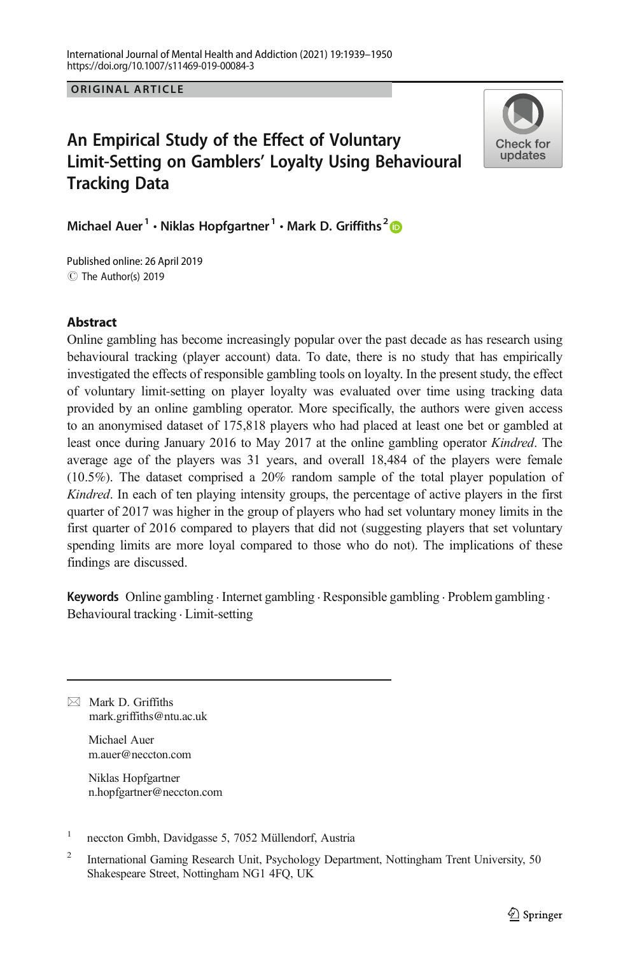**ORIGINAL ARTICLE** ORIGINAL ARTICLE

# An Empirical Study of the Effect of Voluntary Limit-Setting on Gamblers' Loyalty Using Behavioural Tracking Data



Michael Auer<sup>1</sup> • Niklas Hopfgartner<sup>1</sup> • Mark D. Griffiths<sup>2</sup>

C The Author(s) 2019 Published online: 26 April 2019

## Abstract

Online gambling has become increasingly popular over the past decade as has research using behavioural tracking (player account) data. To date, there is no study that has empirically investigated the effects of responsible gambling tools on loyalty. In the present study, the effect of voluntary limit-setting on player loyalty was evaluated over time using tracking data provided by an online gambling operator. More specifically, the authors were given access to an anonymised dataset of 175,818 players who had placed at least one bet or gambled at least once during January 2016 to May 2017 at the online gambling operator Kindred. The average age of the players was 31 years, and overall 18,484 of the players were female (10.5%). The dataset comprised a 20% random sample of the total player population of Kindred. In each of ten playing intensity groups, the percentage of active players in the first quarter of 2017 was higher in the group of players who had set voluntary money limits in the first quarter of 2016 compared to players that did not (suggesting players that set voluntary spending limits are more loyal compared to those who do not). The implications of these findings are discussed.

Keywords Online gambling . Internet gambling . Responsible gambling . Problem gambling . Behavioural tracking . Limit-setting

 $\boxtimes$  Mark D. Griffiths [mark.griffiths@ntu.ac.uk](mailto:mark.griffiths@ntu.ac.uk)

> Michael Auer m.auer@neccton.com

Niklas Hopfgartner n.hopfgartner@neccton.com

<sup>1</sup> neccton Gmbh, Davidgasse 5, 7052 Müllendorf, Austria

<sup>2</sup> International Gaming Research Unit, Psychology Department, Nottingham Trent University, 50 Shakespeare Street, Nottingham NG1 4FQ, UK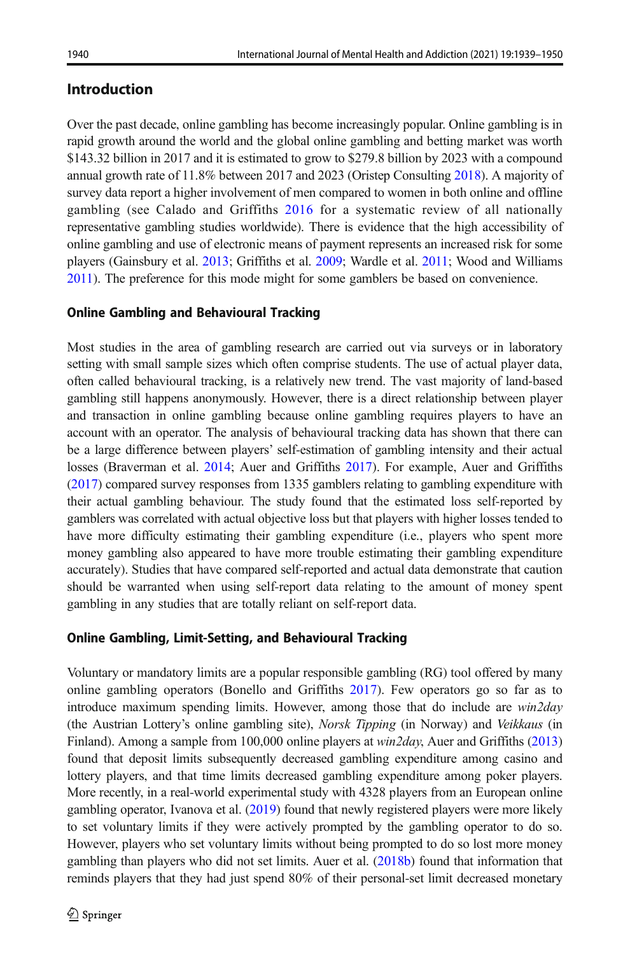# Introduction

Over the past decade, online gambling has become increasingly popular. Online gambling is in rapid growth around the world and the global online gambling and betting market was worth \$143.32 billion in 2017 and it is estimated to grow to \$279.8 billion by 2023 with a compound annual growth rate of 11.8% between 2017 and 2023 (Oristep Consulting [2018\)](#page-11-0). A majority of survey data report a higher involvement of men compared to women in both online and offline gambling (see Calado and Griffiths [2016](#page-10-0) for a systematic review of all nationally representative gambling studies worldwide). There is evidence that the high accessibility of online gambling and use of electronic means of payment represents an increased risk for some players (Gainsbury et al. [2013;](#page-10-0) Griffiths et al. [2009;](#page-10-0) Wardle et al. [2011;](#page-11-0) Wood and Williams [2011\)](#page-11-0). The preference for this mode might for some gamblers be based on convenience.

## Online Gambling and Behavioural Tracking

Most studies in the area of gambling research are carried out via surveys or in laboratory setting with small sample sizes which often comprise students. The use of actual player data, often called behavioural tracking, is a relatively new trend. The vast majority of land-based gambling still happens anonymously. However, there is a direct relationship between player and transaction in online gambling because online gambling requires players to have an account with an operator. The analysis of behavioural tracking data has shown that there can be a large difference between players' self-estimation of gambling intensity and their actual losses (Braverman et al. [2014](#page-10-0); Auer and Griffiths [2017\)](#page-10-0). For example, Auer and Griffiths ([2017](#page-10-0)) compared survey responses from 1335 gamblers relating to gambling expenditure with their actual gambling behaviour. The study found that the estimated loss self-reported by gamblers was correlated with actual objective loss but that players with higher losses tended to have more difficulty estimating their gambling expenditure (i.e., players who spent more money gambling also appeared to have more trouble estimating their gambling expenditure accurately). Studies that have compared self-reported and actual data demonstrate that caution should be warranted when using self-report data relating to the amount of money spent gambling in any studies that are totally reliant on self-report data.

## Online Gambling, Limit-Setting, and Behavioural Tracking

Voluntary or mandatory limits are a popular responsible gambling (RG) tool offered by many online gambling operators (Bonello and Griffiths [2017](#page-10-0)). Few operators go so far as to introduce maximum spending limits. However, among those that do include are win2day (the Austrian Lottery's online gambling site), Norsk Tipping (in Norway) and Veikkaus (in Finland). Among a sample from 100,000 online players at *win2day*, Auer and Griffiths [\(2013\)](#page-10-0) found that deposit limits subsequently decreased gambling expenditure among casino and lottery players, and that time limits decreased gambling expenditure among poker players. More recently, in a real-world experimental study with 4328 players from an European online gambling operator, Ivanova et al. [\(2019\)](#page-10-0) found that newly registered players were more likely to set voluntary limits if they were actively prompted by the gambling operator to do so. However, players who set voluntary limits without being prompted to do so lost more money gambling than players who did not set limits. Auer et al. [\(2018b\)](#page-10-0) found that information that reminds players that they had just spend 80% of their personal-set limit decreased monetary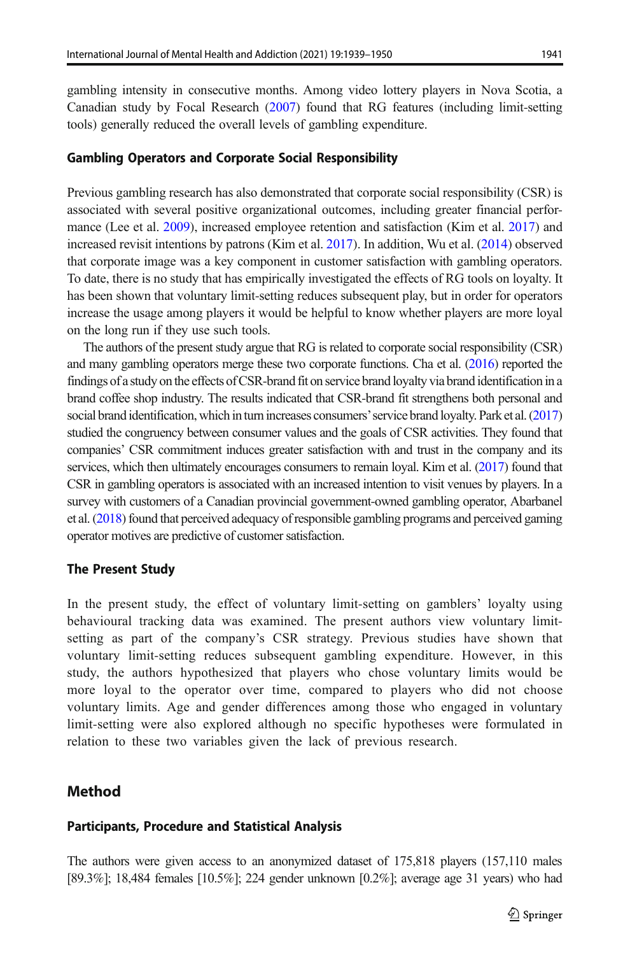gambling intensity in consecutive months. Among video lottery players in Nova Scotia, a Canadian study by Focal Research [\(2007](#page-10-0)) found that RG features (including limit-setting tools) generally reduced the overall levels of gambling expenditure.

#### Gambling Operators and Corporate Social Responsibility

Previous gambling research has also demonstrated that corporate social responsibility (CSR) is associated with several positive organizational outcomes, including greater financial performance (Lee et al. [2009\)](#page-10-0), increased employee retention and satisfaction (Kim et al. [2017](#page-10-0)) and increased revisit intentions by patrons (Kim et al. [2017](#page-10-0)). In addition, Wu et al. ([2014](#page-11-0)) observed that corporate image was a key component in customer satisfaction with gambling operators. To date, there is no study that has empirically investigated the effects of RG tools on loyalty. It has been shown that voluntary limit-setting reduces subsequent play, but in order for operators increase the usage among players it would be helpful to know whether players are more loyal on the long run if they use such tools.

The authors of the present study argue that RG is related to corporate social responsibility (CSR) and many gambling operators merge these two corporate functions. Cha et al. [\(2016\)](#page-10-0) reported the findings of a study on the effects of CSR-brand fit on service brand loyalty via brand identification in a brand coffee shop industry. The results indicated that CSR-brand fit strengthens both personal and social brand identification, which in turn increases consumers' service brand loyalty. Park et al. [\(2017\)](#page-11-0) studied the congruency between consumer values and the goals of CSR activities. They found that companies' CSR commitment induces greater satisfaction with and trust in the company and its services, which then ultimately encourages consumers to remain loyal. Kim et al. [\(2017\)](#page-10-0) found that CSR in gambling operators is associated with an increased intention to visit venues by players. In a survey with customers of a Canadian provincial government-owned gambling operator, Abarbanel et al. [\(2018\)](#page-10-0) found that perceived adequacy of responsible gambling programs and perceived gaming operator motives are predictive of customer satisfaction.

#### The Present Study

In the present study, the effect of voluntary limit-setting on gamblers' loyalty using behavioural tracking data was examined. The present authors view voluntary limitsetting as part of the company's CSR strategy. Previous studies have shown that voluntary limit-setting reduces subsequent gambling expenditure. However, in this study, the authors hypothesized that players who chose voluntary limits would be more loyal to the operator over time, compared to players who did not choose voluntary limits. Age and gender differences among those who engaged in voluntary limit-setting were also explored although no specific hypotheses were formulated in relation to these two variables given the lack of previous research.

### Method

#### Participants, Procedure and Statistical Analysis

The authors were given access to an anonymized dataset of 175,818 players (157,110 males [89.3%]; 18,484 females [10.5%]; 224 gender unknown [0.2%]; average age 31 years) who had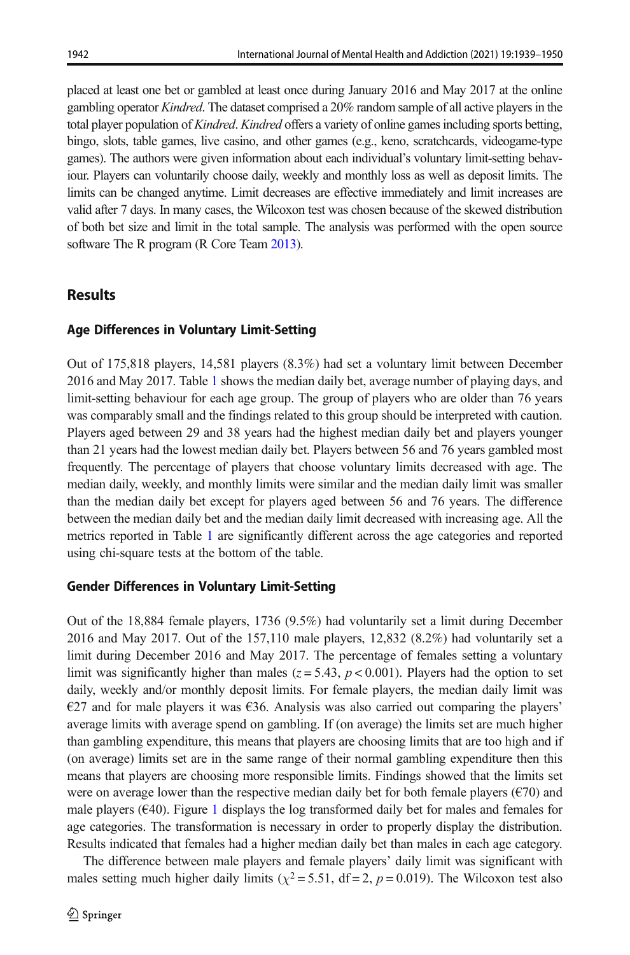placed at least one bet or gambled at least once during January 2016 and May 2017 at the online gambling operator Kindred. The dataset comprised a 20% random sample of all active players in the total player population of Kindred. Kindred offers a variety of online games including sports betting, bingo, slots, table games, live casino, and other games (e.g., keno, scratchcards, videogame-type games). The authors were given information about each individual's voluntary limit-setting behaviour. Players can voluntarily choose daily, weekly and monthly loss as well as deposit limits. The limits can be changed anytime. Limit decreases are effective immediately and limit increases are valid after 7 days. In many cases, the Wilcoxon test was chosen because of the skewed distribution of both bet size and limit in the total sample. The analysis was performed with the open source software The R program (R Core Team [2013\)](#page-11-0).

# **Results**

## Age Differences in Voluntary Limit-Setting

Out of 175,818 players, 14,581 players (8.3%) had set a voluntary limit between December 2016 and May 2017. Table [1](#page-4-0) shows the median daily bet, average number of playing days, and limit-setting behaviour for each age group. The group of players who are older than 76 years was comparably small and the findings related to this group should be interpreted with caution. Players aged between 29 and 38 years had the highest median daily bet and players younger than 21 years had the lowest median daily bet. Players between 56 and 76 years gambled most frequently. The percentage of players that choose voluntary limits decreased with age. The median daily, weekly, and monthly limits were similar and the median daily limit was smaller than the median daily bet except for players aged between 56 and 76 years. The difference between the median daily bet and the median daily limit decreased with increasing age. All the metrics reported in Table [1](#page-4-0) are significantly different across the age categories and reported using chi-square tests at the bottom of the table.

## Gender Differences in Voluntary Limit-Setting

Out of the 18,884 female players, 1736 (9.5%) had voluntarily set a limit during December 2016 and May 2017. Out of the 157,110 male players, 12,832 (8.2%) had voluntarily set a limit during December 2016 and May 2017. The percentage of females setting a voluntary limit was significantly higher than males ( $z = 5.43$ ,  $p < 0.001$ ). Players had the option to set daily, weekly and/or monthly deposit limits. For female players, the median daily limit was  $\epsilon$ 27 and for male players it was  $\epsilon$ 36. Analysis was also carried out comparing the players' average limits with average spend on gambling. If (on average) the limits set are much higher than gambling expenditure, this means that players are choosing limits that are too high and if (on average) limits set are in the same range of their normal gambling expenditure then this means that players are choosing more responsible limits. Findings showed that the limits set were on average lower than the respective median daily bet for both female players ( $\epsilon$ 70) and male players (€40). Figure [1](#page-4-0) displays the log transformed daily bet for males and females for age categories. The transformation is necessary in order to properly display the distribution. Results indicated that females had a higher median daily bet than males in each age category.

The difference between male players and female players' daily limit was significant with males setting much higher daily limits ( $\chi^2$  = 5.51, df = 2, p = 0.019). The Wilcoxon test also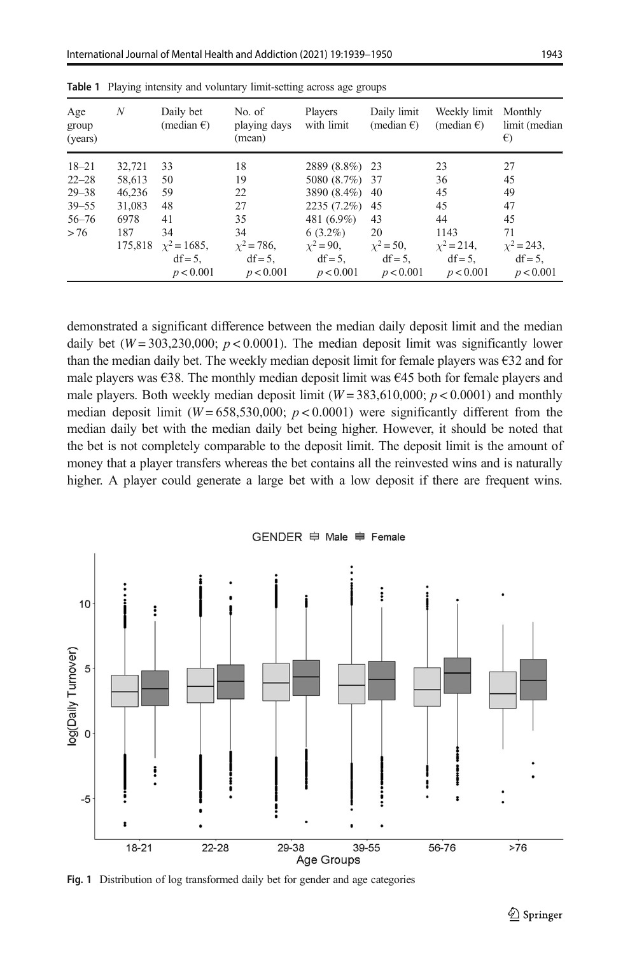| Age<br>group<br>(years) | N      | Daily bet<br>(median $\epsilon$ ) | No. of<br>playing days<br>(mean) | Players<br>with limit | Daily limit<br>(median $\epsilon$ ) | Weekly limit<br>(median $\epsilon$ ) | Monthly<br>limit (median<br>$\epsilon$ |
|-------------------------|--------|-----------------------------------|----------------------------------|-----------------------|-------------------------------------|--------------------------------------|----------------------------------------|
| $18 - 21$               | 32.721 | 33                                | 18                               | 2889 (8.8%) 23        |                                     | 23                                   | 27                                     |
| $22 - 28$               | 58,613 | 50                                | 19                               | 5080 (8.7%) 37        |                                     | 36                                   | 45                                     |
| $29 - 38$               | 46.236 | 59                                | 22                               | 3890 (8.4%) 40        |                                     | 45                                   | 49                                     |
| $39 - 55$               | 31.083 | 48                                | 27                               | $2235(7.2\%)$         | -45                                 | 45                                   | 47                                     |
| $56 - 76$               | 6978   | 41                                | 35                               | 481 (6.9%)            | 43                                  | 44                                   | 45                                     |
| > 76                    | 187    | 34                                | 34                               | $6(3.2\%)$            | 20                                  | 1143                                 | 71                                     |
|                         |        | $175,818$ $x^2 = 1685$ ,          | $x^2 = 786$ ,                    | $x^2 = 90$ ,          | $x^2 = 50$ ,                        | $x^2 = 214$ ,                        | $\chi^2$ = 243,                        |
|                         |        | $df = 5$ .                        | $df = 5$ ,                       | $df = 5$ ,            | $df = 5$ ,                          | $df = 5$ ,                           | $df = 5$ ,                             |
|                         |        | p < 0.001                         | p < 0.001                        | p < 0.001             | p < 0.001                           | p < 0.001                            | p < 0.001                              |

<span id="page-4-0"></span>

|  |  |  |  |  | Table 1 Playing intensity and voluntary limit-setting across age groups |  |  |  |
|--|--|--|--|--|-------------------------------------------------------------------------|--|--|--|
|--|--|--|--|--|-------------------------------------------------------------------------|--|--|--|

demonstrated a significant difference between the median daily deposit limit and the median daily bet ( $W = 303,230,000$ ;  $p < 0.0001$ ). The median deposit limit was significantly lower than the median daily bet. The weekly median deposit limit for female players was  $\epsilon$ 32 and for male players was  $\epsilon$ 38. The monthly median deposit limit was  $\epsilon$ 45 both for female players and male players. Both weekly median deposit limit ( $W = 383,610,000$ ;  $p < 0.0001$ ) and monthly median deposit limit ( $W = 658,530,000$ ;  $p < 0.0001$ ) were significantly different from the median daily bet with the median daily bet being higher. However, it should be noted that the bet is not completely comparable to the deposit limit. The deposit limit is the amount of money that a player transfers whereas the bet contains all the reinvested wins and is naturally higher. A player could generate a large bet with a low deposit if there are frequent wins.



Fig. 1 Distribution of log transformed daily bet for gender and age categories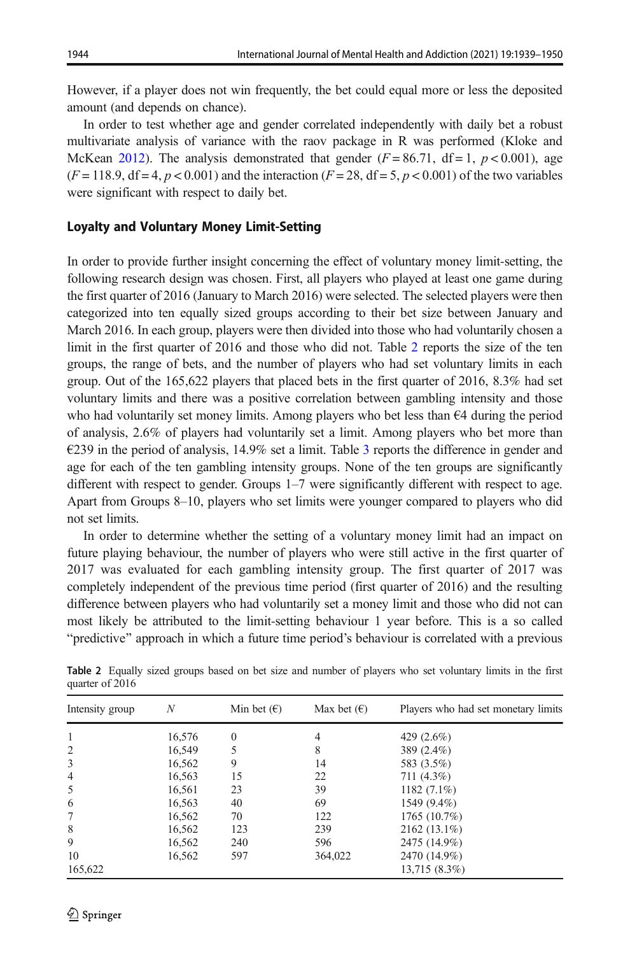However, if a player does not win frequently, the bet could equal more or less the deposited amount (and depends on chance).

In order to test whether age and gender correlated independently with daily bet a robust multivariate analysis of variance with the raov package in R was performed (Kloke and McKean [2012](#page-10-0)). The analysis demonstrated that gender  $(F = 86.71, df = 1, p < 0.001)$ , age  $(F = 118.9, df = 4, p < 0.001)$  and the interaction  $(F = 28, df = 5, p < 0.001)$  of the two variables were significant with respect to daily bet.

#### Loyalty and Voluntary Money Limit-Setting

In order to provide further insight concerning the effect of voluntary money limit-setting, the following research design was chosen. First, all players who played at least one game during the first quarter of 2016 (January to March 2016) were selected. The selected players were then categorized into ten equally sized groups according to their bet size between January and March 2016. In each group, players were then divided into those who had voluntarily chosen a limit in the first quarter of 2016 and those who did not. Table 2 reports the size of the ten groups, the range of bets, and the number of players who had set voluntary limits in each group. Out of the 165,622 players that placed bets in the first quarter of 2016, 8.3% had set voluntary limits and there was a positive correlation between gambling intensity and those who had voluntarily set money limits. Among players who bet less than  $\epsilon$ 4 during the period of analysis, 2.6% of players had voluntarily set a limit. Among players who bet more than €239 in the period of analysis, 14.9% set a limit. Table [3](#page-6-0) reports the difference in gender and age for each of the ten gambling intensity groups. None of the ten groups are significantly different with respect to gender. Groups 1–7 were significantly different with respect to age. Apart from Groups 8–10, players who set limits were younger compared to players who did not set limits.

In order to determine whether the setting of a voluntary money limit had an impact on future playing behaviour, the number of players who were still active in the first quarter of 2017 was evaluated for each gambling intensity group. The first quarter of 2017 was completely independent of the previous time period (first quarter of 2016) and the resulting difference between players who had voluntarily set a money limit and those who did not can most likely be attributed to the limit-setting behaviour 1 year before. This is a so called "predictive" approach in which a future time period's behaviour is correlated with a previous

| Intensity group | N      | Min bet $(\epsilon)$ | Max bet $(\epsilon)$ | Players who had set monetary limits |
|-----------------|--------|----------------------|----------------------|-------------------------------------|
| 1               | 16,576 | $\theta$             | 4                    | 429 $(2.6\%)$                       |
| 2               | 16,549 |                      | 8                    | 389 (2.4%)                          |
| 3               | 16,562 | 9                    | 14                   | 583 (3.5%)                          |
| $\overline{4}$  | 16,563 | 15                   | 22                   | 711 (4.3%)                          |
| 5               | 16.561 | 23                   | 39                   | 1182 $(7.1\%)$                      |
| 6               | 16.563 | 40                   | 69                   | 1549 (9.4%)                         |
| 7               | 16,562 | 70                   | 122                  | 1765(10.7%)                         |
| 8               | 16.562 | 123                  | 239                  | $2162(13.1\%)$                      |
| 9               | 16.562 | 240                  | 596                  | 2475 (14.9%)                        |
| 10              | 16.562 | 597                  | 364,022              | 2470 (14.9%)                        |
| 165,622         |        |                      |                      | 13,715 (8.3%)                       |

Table 2 Equally sized groups based on bet size and number of players who set voluntary limits in the first quarter of 2016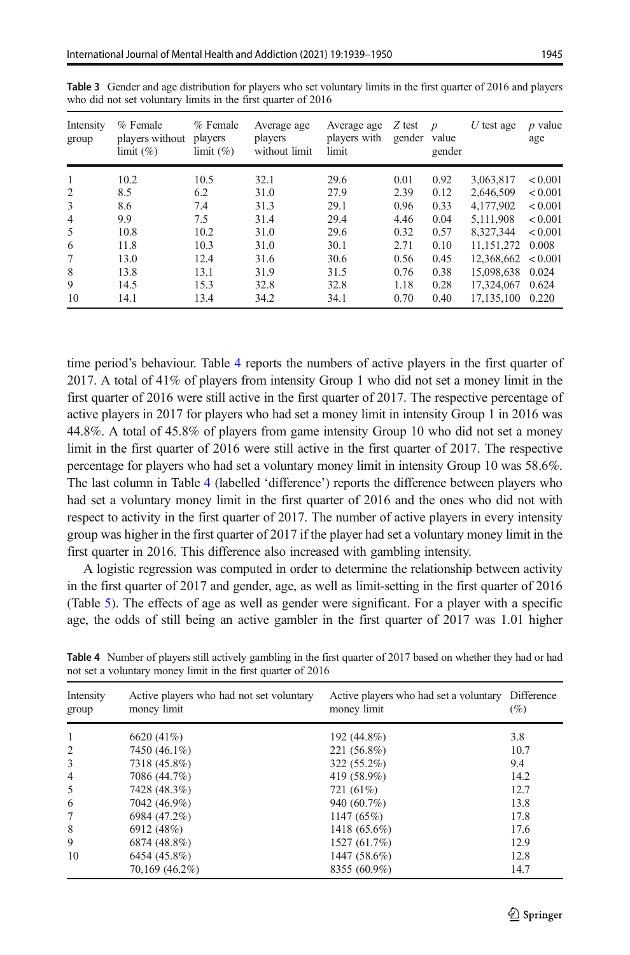| Intensity<br>group | % Female<br>players without<br>limit (%) | % Female<br>players<br>limit (%) | Average age<br>players<br>without limit | Average age<br>players with<br>limit | Z test<br>gender value | $\boldsymbol{p}$<br>gender | $U$ test age           | $p$ value<br>age |
|--------------------|------------------------------------------|----------------------------------|-----------------------------------------|--------------------------------------|------------------------|----------------------------|------------------------|------------------|
| 1                  | 10.2                                     | 10.5                             | 32.1                                    | 29.6                                 | 0.01                   | 0.92                       | 3,063,817              | < 0.001          |
| $\overline{c}$     | 8.5                                      | 6.2                              | 31.0                                    | 27.9                                 | 2.39                   | 0.12                       | 2.646.509              | < 0.001          |
| 3                  | 8.6                                      | 7.4                              | 31.3                                    | 29.1                                 | 0.96                   | 0.33                       | 4.177.902              | < 0.001          |
| 4                  | 9.9                                      | 7.5                              | 31.4                                    | 29.4                                 | 4.46                   | 0.04                       | 5.111.908              | < 0.001          |
| 5                  | 10.8                                     | 10.2                             | 31.0                                    | 29.6                                 | 0.32                   | 0.57                       | 8.327.344              | < 0.001          |
| 6                  | 11.8                                     | 10.3                             | 31.0                                    | 30.1                                 | 2.71                   | 0.10                       | 11.151.272             | 0.008            |
| 7                  | 13.0                                     | 12.4                             | 31.6                                    | 30.6                                 | 0.56                   | 0.45                       | $12.368.662 \le 0.001$ |                  |
| 8                  | 13.8                                     | 13.1                             | 31.9                                    | 31.5                                 | 0.76                   | 0.38                       | 15,098,638             | 0.024            |
| 9                  | 14.5                                     | 15.3                             | 32.8                                    | 32.8                                 | 1.18                   | 0.28                       | 17,324,067             | 0.624            |
| 10                 | 14.1                                     | 13.4                             | 34.2                                    | 34.1                                 | 0.70                   | 0.40                       | 17, 135, 100           | 0.220            |

<span id="page-6-0"></span>Table 3 Gender and age distribution for players who set voluntary limits in the first quarter of 2016 and players who did not set voluntary limits in the first quarter of 2016

time period's behaviour. Table 4 reports the numbers of active players in the first quarter of 2017. A total of 41% of players from intensity Group 1 who did not set a money limit in the first quarter of 2016 were still active in the first quarter of 2017. The respective percentage of active players in 2017 for players who had set a money limit in intensity Group 1 in 2016 was 44.8%. A total of 45.8% of players from game intensity Group 10 who did not set a money limit in the first quarter of 2016 were still active in the first quarter of 2017. The respective percentage for players who had set a voluntary money limit in intensity Group 10 was 58.6%. The last column in Table 4 (labelled 'difference') reports the difference between players who had set a voluntary money limit in the first quarter of 2016 and the ones who did not with respect to activity in the first quarter of 2017. The number of active players in every intensity group was higher in the first quarter of 2017 if the player had set a voluntary money limit in the first quarter in 2016. This difference also increased with gambling intensity.

A logistic regression was computed in order to determine the relationship between activity in the first quarter of 2017 and gender, age, as well as limit-setting in the first quarter of 2016 (Table [5\)](#page-7-0). The effects of age as well as gender were significant. For a player with a specific age, the odds of still being an active gambler in the first quarter of 2017 was 1.01 higher

| Intensity<br>group | Active players who had not set voluntary<br>money limit | Active players who had set a voluntary Difference<br>money limit | (%)  |
|--------------------|---------------------------------------------------------|------------------------------------------------------------------|------|
| 1                  | 6620 (41%)                                              | 192 (44.8%)                                                      | 3.8  |
| 2                  | 7450 (46.1%)                                            | 221 (56.8%)                                                      | 10.7 |
| 3                  | 7318 (45.8%)                                            | 322 (55.2%)                                                      | 9.4  |
| $\overline{4}$     | 7086 (44.7%)                                            | 419 (58.9%)                                                      | 14.2 |
| 5                  | 7428 (48.3%)                                            | 721 (61%)                                                        | 12.7 |
| 6                  | 7042 (46.9%)                                            | 940 (60.7%)                                                      | 13.8 |
| 7                  | 6984 (47.2%)                                            | 1147(65%)                                                        | 17.8 |
| 8                  | 6912 (48%)                                              | 1418 (65.6%)                                                     | 17.6 |
| 9                  | 6874 (48.8%)                                            | 1527 (61.7%)                                                     | 12.9 |
| 10                 | 6454 (45.8%)                                            | 1447 (58.6%)                                                     | 12.8 |
|                    | 70,169 (46.2%)                                          | 8355 (60.9%)                                                     | 14.7 |

Table 4 Number of players still actively gambling in the first quarter of 2017 based on whether they had or had not set a voluntary money limit in the first quarter of 2016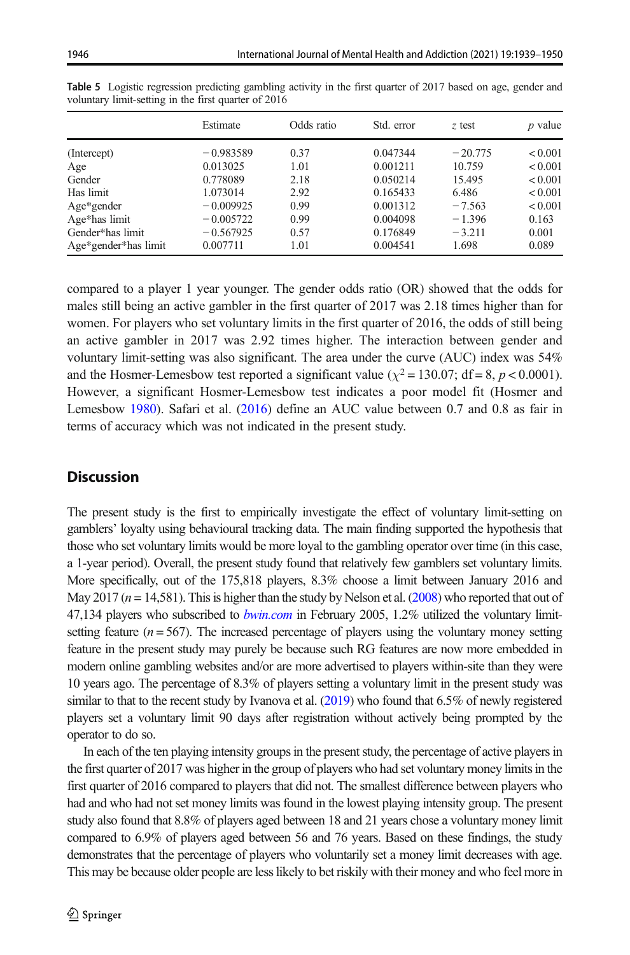|  | $\mathbf{I}$ constitution to a complete complete a constructive |  |  |
|--|-----------------------------------------------------------------|--|--|

|                      | Estimate    | Odds ratio | Std. error | z test    | $p$ value |
|----------------------|-------------|------------|------------|-----------|-----------|
| (Intercept)          | $-0.983589$ | 0.37       | 0.047344   | $-20.775$ | < 0.001   |
| Age                  | 0.013025    | 1.01       | 0.001211   | 10.759    | < 0.001   |
| Gender               | 0.778089    | 2.18       | 0.050214   | 15.495    | < 0.001   |
| Has limit            | 1.073014    | 2.92       | 0.165433   | 6.486     | < 0.001   |
| Age*gender           | $-0.009925$ | 0.99       | 0.001312   | $-7.563$  | < 0.001   |
| Age*has limit        | $-0.005722$ | 0.99       | 0.004098   | $-1.396$  | 0.163     |
| Gender*has limit     | $-0.567925$ | 0.57       | 0.176849   | $-3.211$  | 0.001     |
| Age*gender*has limit | 0.007711    | 1.01       | 0.004541   | 1.698     | 0.089     |

<span id="page-7-0"></span>Table 5 Logistic regression predicting gambling activity in the first quarter of 2017 based on age, gender and voluntary limit-setting in the first quarter of 2016

compared to a player 1 year younger. The gender odds ratio (OR) showed that the odds for males still being an active gambler in the first quarter of 2017 was 2.18 times higher than for women. For players who set voluntary limits in the first quarter of 2016, the odds of still being an active gambler in 2017 was 2.92 times higher. The interaction between gender and voluntary limit-setting was also significant. The area under the curve (AUC) index was 54% and the Hosmer-Lemesbow test reported a significant value ( $\chi^2$  = 130.07; df = 8, p < 0.0001). However, a significant Hosmer-Lemesbow test indicates a poor model fit (Hosmer and Lemesbow [1980](#page-10-0)). Safari et al. [\(2016\)](#page-11-0) define an AUC value between 0.7 and 0.8 as fair in terms of accuracy which was not indicated in the present study.

## **Discussion**

The present study is the first to empirically investigate the effect of voluntary limit-setting on gamblers' loyalty using behavioural tracking data. The main finding supported the hypothesis that those who set voluntary limits would be more loyal to the gambling operator over time (in this case, a 1-year period). Overall, the present study found that relatively few gamblers set voluntary limits. More specifically, out of the 175,818 players, 8.3% choose a limit between January 2016 and May 2017 ( $n = 14,581$ ). This is higher than the study by Nelson et al. ([2008](#page-10-0)) who reported that out of 47,134 players who subscribed to *[bwin.com](http://bwin.com)* in February 2005, 1.2% utilized the voluntary limitsetting feature  $(n = 567)$ . The increased percentage of players using the voluntary money setting feature in the present study may purely be because such RG features are now more embedded in modern online gambling websites and/or are more advertised to players within-site than they were 10 years ago. The percentage of 8.3% of players setting a voluntary limit in the present study was similar to that to the recent study by Ivanova et al. [\(2019](#page-10-0)) who found that 6.5% of newly registered players set a voluntary limit 90 days after registration without actively being prompted by the operator to do so.

In each of the ten playing intensity groups in the present study, the percentage of active players in the first quarter of 2017 was higher in the group of players who had set voluntary money limits in the first quarter of 2016 compared to players that did not. The smallest difference between players who had and who had not set money limits was found in the lowest playing intensity group. The present study also found that 8.8% of players aged between 18 and 21 years chose a voluntary money limit compared to 6.9% of players aged between 56 and 76 years. Based on these findings, the study demonstrates that the percentage of players who voluntarily set a money limit decreases with age. This may be because older people are less likely to bet riskily with their money and who feel more in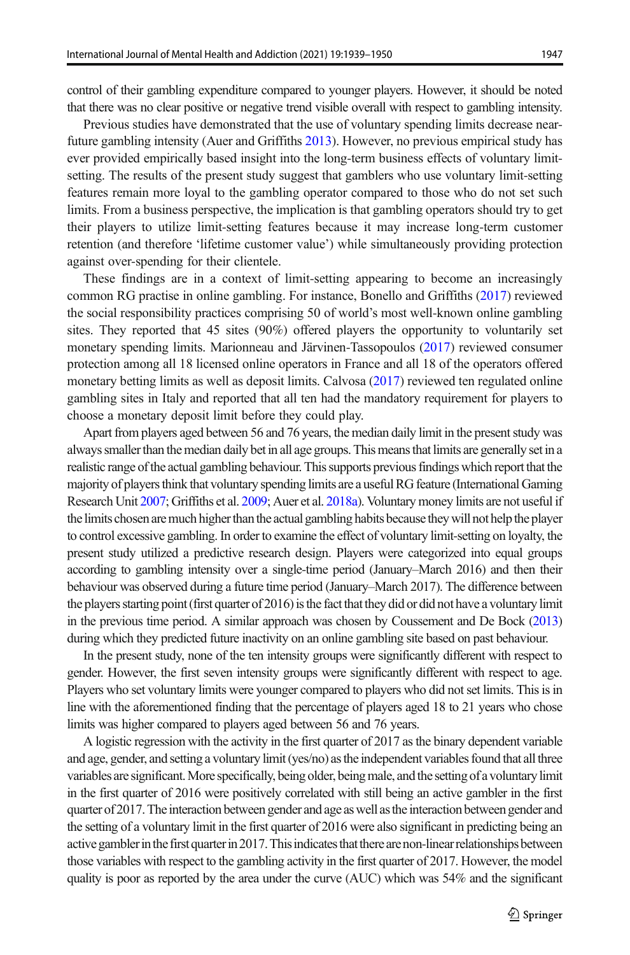control of their gambling expenditure compared to younger players. However, it should be noted that there was no clear positive or negative trend visible overall with respect to gambling intensity.

Previous studies have demonstrated that the use of voluntary spending limits decrease nearfuture gambling intensity (Auer and Griffiths [2013\)](#page-10-0). However, no previous empirical study has ever provided empirically based insight into the long-term business effects of voluntary limitsetting. The results of the present study suggest that gamblers who use voluntary limit-setting features remain more loyal to the gambling operator compared to those who do not set such limits. From a business perspective, the implication is that gambling operators should try to get their players to utilize limit-setting features because it may increase long-term customer retention (and therefore 'lifetime customer value') while simultaneously providing protection against over-spending for their clientele.

These findings are in a context of limit-setting appearing to become an increasingly common RG practise in online gambling. For instance, Bonello and Griffiths [\(2017\)](#page-10-0) reviewed the social responsibility practices comprising 50 of world's most well-known online gambling sites. They reported that 45 sites (90%) offered players the opportunity to voluntarily set monetary spending limits. Marionneau and Järvinen-Tassopoulos ([2017](#page-10-0)) reviewed consumer protection among all 18 licensed online operators in France and all 18 of the operators offered monetary betting limits as well as deposit limits. Calvosa ([2017](#page-10-0)) reviewed ten regulated online gambling sites in Italy and reported that all ten had the mandatory requirement for players to choose a monetary deposit limit before they could play.

Apart from players aged between 56 and 76 years, the median daily limit in the present study was always smaller than the median daily bet in all age groups. This means that limits are generally set in a realistic range of the actual gambling behaviour. This supports previous findings which report that the majority of players think that voluntary spending limits are a useful RG feature (International Gaming Research Unit [2007;](#page-10-0) Griffiths et al. [2009](#page-10-0); Auer et al. [2018a](#page-10-0)). Voluntary money limits are not useful if the limits chosen are much higher than the actual gambling habits because they will not help the player to control excessive gambling. In order to examine the effect of voluntary limit-setting on loyalty, the present study utilized a predictive research design. Players were categorized into equal groups according to gambling intensity over a single-time period (January–March 2016) and then their behaviour was observed during a future time period (January–March 2017). The difference between the players starting point (first quarter of 2016) is the fact that they did or did not have a voluntary limit in the previous time period. A similar approach was chosen by Coussement and De Bock [\(2013\)](#page-10-0) during which they predicted future inactivity on an online gambling site based on past behaviour.

In the present study, none of the ten intensity groups were significantly different with respect to gender. However, the first seven intensity groups were significantly different with respect to age. Players who set voluntary limits were younger compared to players who did not set limits. This is in line with the aforementioned finding that the percentage of players aged 18 to 21 years who chose limits was higher compared to players aged between 56 and 76 years.

A logistic regression with the activity in the first quarter of 2017 as the binary dependent variable and age, gender, and setting a voluntary limit (yes/no) as the independent variables found that all three variables are significant. More specifically, being older, being male, and the setting of a voluntary limit in the first quarter of 2016 were positively correlated with still being an active gambler in the first quarter of 2017. The interaction between gender and age as well as the interaction between gender and the setting of a voluntary limit in the first quarter of 2016 were also significant in predicting being an active gambler in the first quarter in 2017. This indicates that there are non-linear relationships between those variables with respect to the gambling activity in the first quarter of 2017. However, the model quality is poor as reported by the area under the curve (AUC) which was 54% and the significant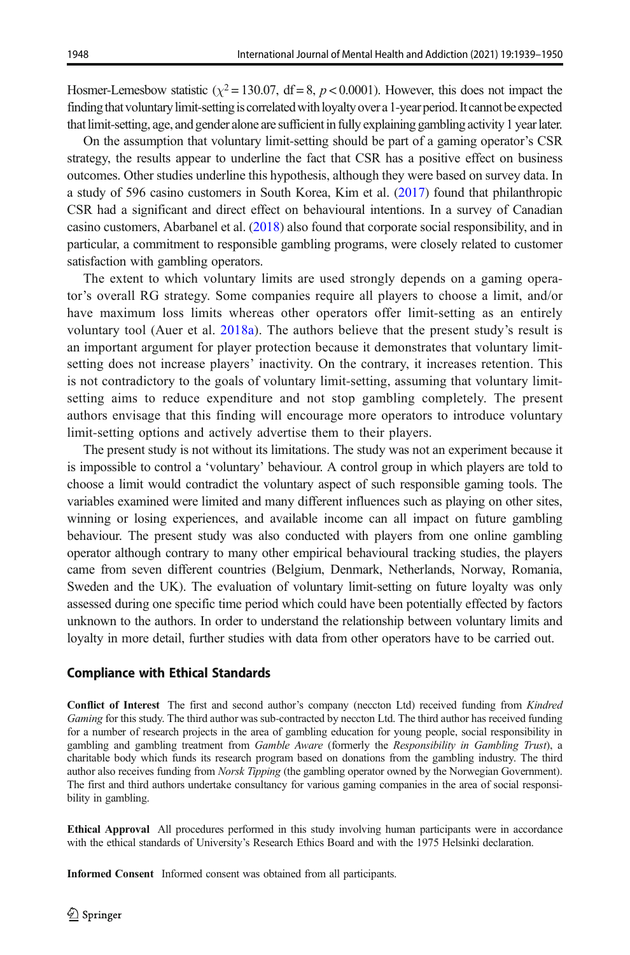Hosmer-Lemesbow statistic ( $\chi^2$  = 130.07, df = 8, p < 0.0001). However, this does not impact the finding that voluntary limit-setting is correlated with loyalty over a 1-year period. It cannot be expected thatlimit-setting, age, and gender alone are sufficient in fully explaining gambling activity 1 yearlater.

On the assumption that voluntary limit-setting should be part of a gaming operator's CSR strategy, the results appear to underline the fact that CSR has a positive effect on business outcomes. Other studies underline this hypothesis, although they were based on survey data. In a study of 596 casino customers in South Korea, Kim et al. ([2017](#page-10-0)) found that philanthropic CSR had a significant and direct effect on behavioural intentions. In a survey of Canadian casino customers, Abarbanel et al. ([2018](#page-10-0)) also found that corporate social responsibility, and in particular, a commitment to responsible gambling programs, were closely related to customer satisfaction with gambling operators.

The extent to which voluntary limits are used strongly depends on a gaming operator's overall RG strategy. Some companies require all players to choose a limit, and/or have maximum loss limits whereas other operators offer limit-setting as an entirely voluntary tool (Auer et al. [2018a](#page-10-0)). The authors believe that the present study's result is an important argument for player protection because it demonstrates that voluntary limitsetting does not increase players' inactivity. On the contrary, it increases retention. This is not contradictory to the goals of voluntary limit-setting, assuming that voluntary limitsetting aims to reduce expenditure and not stop gambling completely. The present authors envisage that this finding will encourage more operators to introduce voluntary limit-setting options and actively advertise them to their players.

The present study is not without its limitations. The study was not an experiment because it is impossible to control a 'voluntary' behaviour. A control group in which players are told to choose a limit would contradict the voluntary aspect of such responsible gaming tools. The variables examined were limited and many different influences such as playing on other sites, winning or losing experiences, and available income can all impact on future gambling behaviour. The present study was also conducted with players from one online gambling operator although contrary to many other empirical behavioural tracking studies, the players came from seven different countries (Belgium, Denmark, Netherlands, Norway, Romania, Sweden and the UK). The evaluation of voluntary limit-setting on future loyalty was only assessed during one specific time period which could have been potentially effected by factors unknown to the authors. In order to understand the relationship between voluntary limits and loyalty in more detail, further studies with data from other operators have to be carried out.

#### Compliance with Ethical Standards

Conflict of Interest The first and second author's company (neccton Ltd) received funding from Kindred Gaming for this study. The third author was sub-contracted by neccton Ltd. The third author has received funding for a number of research projects in the area of gambling education for young people, social responsibility in gambling and gambling treatment from Gamble Aware (formerly the Responsibility in Gambling Trust), a charitable body which funds its research program based on donations from the gambling industry. The third author also receives funding from Norsk Tipping (the gambling operator owned by the Norwegian Government). The first and third authors undertake consultancy for various gaming companies in the area of social responsibility in gambling.

Ethical Approval All procedures performed in this study involving human participants were in accordance with the ethical standards of University's Research Ethics Board and with the 1975 Helsinki declaration.

Informed Consent Informed consent was obtained from all participants.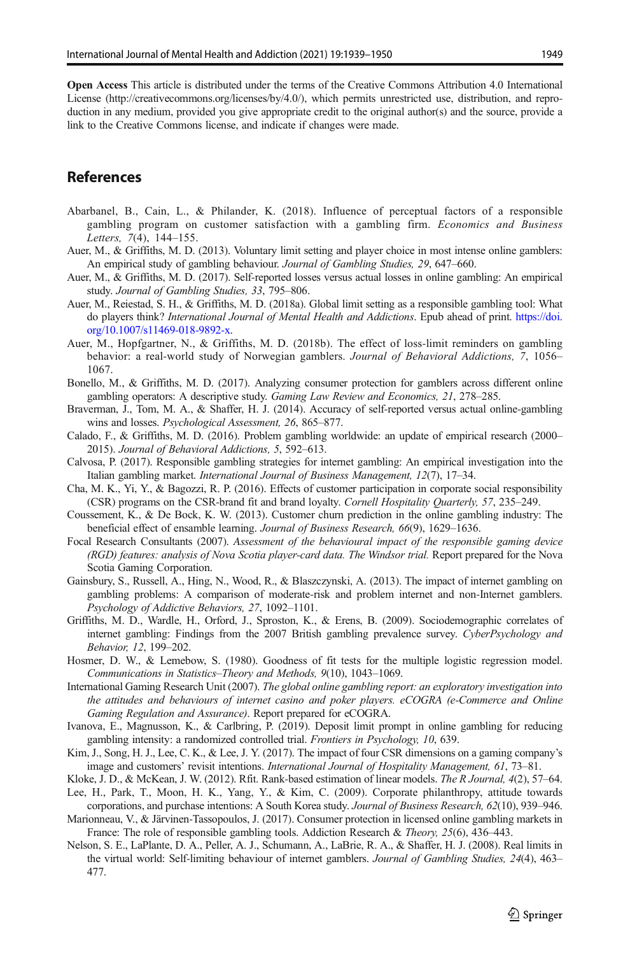<span id="page-10-0"></span>Open Access This article is distributed under the terms of the Creative Commons Attribution 4.0 International License (http://creativecommons.org/licenses/by/4.0/), which permits unrestricted use, distribution, and reproduction in any medium, provided you give appropriate credit to the original author(s) and the source, provide a link to the Creative Commons license, and indicate if changes were made.

### References

- Abarbanel, B., Cain, L., & Philander, K. (2018). Influence of perceptual factors of a responsible gambling program on customer satisfaction with a gambling firm. Economics and Business Letters, 7(4), 144–155.
- Auer, M., & Griffiths, M. D. (2013). Voluntary limit setting and player choice in most intense online gamblers: An empirical study of gambling behaviour. Journal of Gambling Studies, 29, 647–660.
- Auer, M., & Griffiths, M. D. (2017). Self-reported losses versus actual losses in online gambling: An empirical study. Journal of Gambling Studies, 33, 795–806.
- Auer, M., Reiestad, S. H., & Griffiths, M. D. (2018a). Global limit setting as a responsible gambling tool: What do players think? International Journal of Mental Health and Addictions. Epub ahead of print. [https://doi.](https://doi.org/10.1007/s11469-018-9892-x) [org/10.1007/s11469-018-9892-x.](https://doi.org/10.1007/s11469-018-9892-x)
- Auer, M., Hopfgartner, N., & Griffiths, M. D. (2018b). The effect of loss-limit reminders on gambling behavior: a real-world study of Norwegian gamblers. Journal of Behavioral Addictions, 7, 1056– 1067.
- Bonello, M., & Griffiths, M. D. (2017). Analyzing consumer protection for gamblers across different online gambling operators: A descriptive study. Gaming Law Review and Economics, 21, 278–285.
- Braverman, J., Tom, M. A., & Shaffer, H. J. (2014). Accuracy of self-reported versus actual online-gambling wins and losses. Psychological Assessment, 26, 865–877.
- Calado, F., & Griffiths, M. D. (2016). Problem gambling worldwide: an update of empirical research (2000– 2015). Journal of Behavioral Addictions, 5, 592–613.
- Calvosa, P. (2017). Responsible gambling strategies for internet gambling: An empirical investigation into the Italian gambling market. International Journal of Business Management, 12(7), 17–34.
- Cha, M. K., Yi, Y., & Bagozzi, R. P. (2016). Effects of customer participation in corporate social responsibility (CSR) programs on the CSR-brand fit and brand loyalty. Cornell Hospitality Quarterly, 57, 235–249.
- Coussement, K., & De Bock, K. W. (2013). Customer churn prediction in the online gambling industry: The beneficial effect of ensamble learning. Journal of Business Research, 66(9), 1629–1636.
- Focal Research Consultants (2007). Assessment of the behavioural impact of the responsible gaming device (RGD) features: analysis of Nova Scotia player-card data. The Windsor trial. Report prepared for the Nova Scotia Gaming Corporation.
- Gainsbury, S., Russell, A., Hing, N., Wood, R., & Blaszczynski, A. (2013). The impact of internet gambling on gambling problems: A comparison of moderate-risk and problem internet and non-Internet gamblers. Psychology of Addictive Behaviors, 27, 1092–1101.
- Griffiths, M. D., Wardle, H., Orford, J., Sproston, K., & Erens, B. (2009). Sociodemographic correlates of internet gambling: Findings from the 2007 British gambling prevalence survey. CyberPsychology and Behavior, 12, 199–202.
- Hosmer, D. W., & Lemebow, S. (1980). Goodness of fit tests for the multiple logistic regression model. Communications in Statistics–Theory and Methods, 9(10), 1043–1069.
- International Gaming Research Unit (2007). The global online gambling report: an exploratory investigation into the attitudes and behaviours of internet casino and poker players. eCOGRA (e-Commerce and Online Gaming Regulation and Assurance). Report prepared for eCOGRA.
- Ivanova, E., Magnusson, K., & Carlbring, P. (2019). Deposit limit prompt in online gambling for reducing gambling intensity: a randomized controlled trial. Frontiers in Psychology, 10, 639.
- Kim, J., Song, H. J., Lee, C. K., & Lee, J. Y. (2017). The impact of four CSR dimensions on a gaming company's image and customers' revisit intentions. International Journal of Hospitality Management, 61, 73–81.
- Kloke, J. D., & McKean, J. W. (2012). Rfit. Rank-based estimation of linear models. *The R Journal*, 4(2), 57–64.
- Lee, H., Park, T., Moon, H. K., Yang, Y., & Kim, C. (2009). Corporate philanthropy, attitude towards corporations, and purchase intentions: A South Korea study. Journal of Business Research, 62(10), 939-946.
- Marionneau, V., & Järvinen-Tassopoulos, J. (2017). Consumer protection in licensed online gambling markets in France: The role of responsible gambling tools. Addiction Research & Theory, 25(6), 436–443.
- Nelson, S. E., LaPlante, D. A., Peller, A. J., Schumann, A., LaBrie, R. A., & Shaffer, H. J. (2008). Real limits in the virtual world: Self-limiting behaviour of internet gamblers. Journal of Gambling Studies, 24(4), 463– 477.